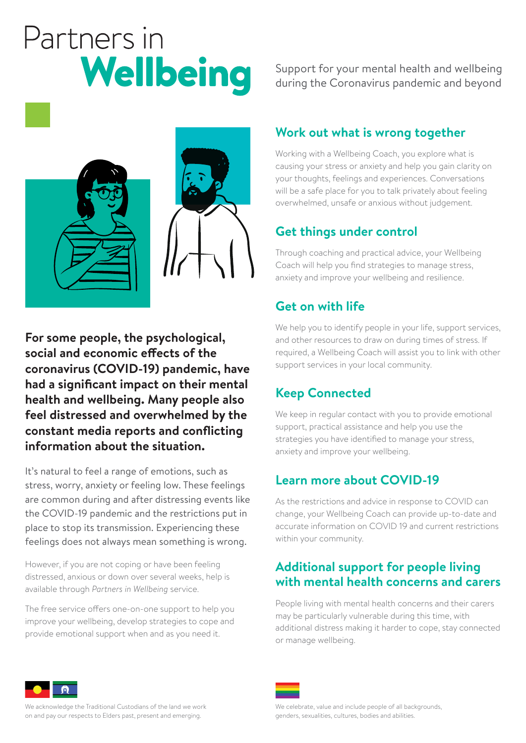# Partners in Wellbeing

Support for your mental health and wellbeing during the Coronavirus pandemic and beyond



**For some people, the psychological, social and economic effects of the coronavirus (COVID-19) pandemic, have had a significant impact on their mental health and wellbeing. Many people also feel distressed and overwhelmed by the constant media reports and conflicting information about the situation.** 

It's natural to feel a range of emotions, such as stress, worry, anxiety or feeling low. These feelings are common during and after distressing events like the COVID-19 pandemic and the restrictions put in place to stop its transmission. Experiencing these feelings does not always mean something is wrong.

However, if you are not coping or have been feeling distressed, anxious or down over several weeks, help is available through *Partners in Wellbeing* service.

The free service offers one-on-one support to help you improve your wellbeing, develop strategies to cope and provide emotional support when and as you need it.

# **Work out what is wrong together**

Working with a Wellbeing Coach, you explore what is causing your stress or anxiety and help you gain clarity on your thoughts, feelings and experiences. Conversations will be a safe place for you to talk privately about feeling overwhelmed, unsafe or anxious without judgement.

# **Get things under control**

Through coaching and practical advice, your Wellbeing Coach will help you find strategies to manage stress, anxiety and improve your wellbeing and resilience.

# **Get on with life**

We help you to identify people in your life, support services, and other resources to draw on during times of stress. If required, a Wellbeing Coach will assist you to link with other support services in your local community.

# **Keep Connected**

We keep in regular contact with you to provide emotional support, practical assistance and help you use the strategies you have identified to manage your stress, anxiety and improve your wellbeing.

# **Learn more about COVID-19**

As the restrictions and advice in response to COVID can change, your Wellbeing Coach can provide up-to-date and accurate information on COVID 19 and current restrictions within your community.

## **Additional support for people living with mental health concerns and carers**

People living with mental health concerns and their carers may be particularly vulnerable during this time, with additional distress making it harder to cope, stay connected or manage wellbeing.



We celebrate, value and include people of all backgrounds, genders, sexualities, cultures, bodies and abilities.



We acknowledge the Traditional Custodians of the land we work on and pay our respects to Elders past, present and emerging.